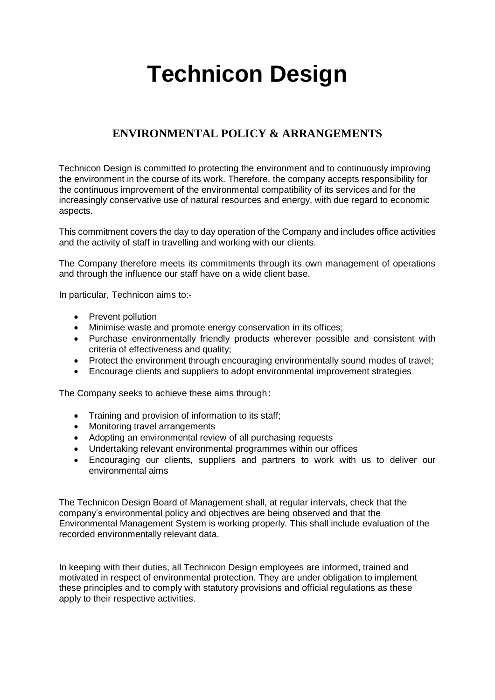# **Technicon Design**

# **ENVIRONMENTAL POLICY & ARRANGEMENTS**

Technicon Design is committed to protecting the environment and to continuously improving the environment in the course of its work. Therefore, the company accepts responsibility for the continuous improvement of the environmental compatibility of its services and for the increasingly conservative use of natural resources and energy, with due regard to economic aspects.

This commitment covers the day to day operation of the Company and includes office activities and the activity of staff in travelling and working with our clients.

The Company therefore meets its commitments through its own management of operations and through the influence our staff have on a wide client base.

In particular, Technicon aims to:-

- Prevent pollution
- Minimise waste and promote energy conservation in its offices;
- Purchase environmentally friendly products wherever possible and consistent with criteria of effectiveness and quality;
- Protect the environment through encouraging environmentally sound modes of travel:
- Encourage clients and suppliers to adopt environmental improvement strategies

The Company seeks to achieve these aims through:

- Training and provision of information to its staff;
- Monitoring travel arrangements
- Adopting an environmental review of all purchasing requests
- Undertaking relevant environmental programmes within our offices
- Encouraging our clients, suppliers and partners to work with us to deliver our environmental aims

The Technicon Design Board of Management shall, at regular intervals, check that the company's environmental policy and objectives are being observed and that the Environmental Management System is working properly. This shall include evaluation of the recorded environmentally relevant data.

In keeping with their duties, all Technicon Design employees are informed, trained and motivated in respect of environmental protection. They are under obligation to implement these principles and to comply with statutory provisions and official regulations as these apply to their respective activities.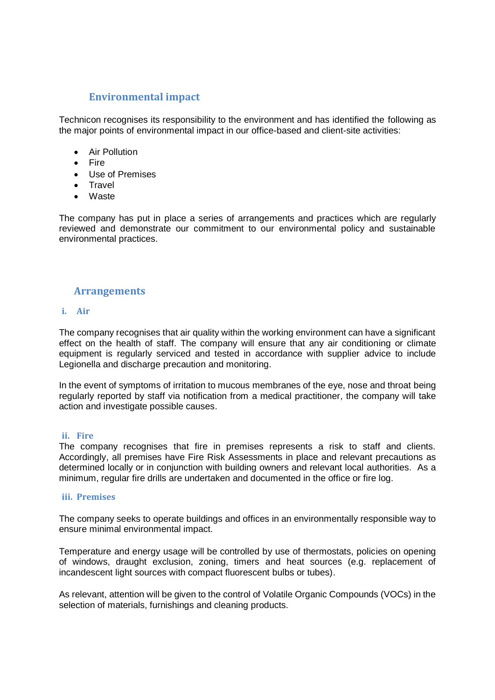# **Environmental impact**

Technicon recognises its responsibility to the environment and has identified the following as the major points of environmental impact in our office-based and client-site activities:

- Air Pollution
- Fire
- Use of Premises
- Travel
- Waste

The company has put in place a series of arrangements and practices which are regularly reviewed and demonstrate our commitment to our environmental policy and sustainable environmental practices.

# **Arrangements**

# **i. Air**

The company recognises that air quality within the working environment can have a significant effect on the health of staff. The company will ensure that any air conditioning or climate equipment is regularly serviced and tested in accordance with supplier advice to include Legionella and discharge precaution and monitoring.

In the event of symptoms of irritation to mucous membranes of the eye, nose and throat being regularly reported by staff via notification from a medical practitioner, the company will take action and investigate possible causes.

# **ii. Fire**

The company recognises that fire in premises represents a risk to staff and clients. Accordingly, all premises have Fire Risk Assessments in place and relevant precautions as determined locally or in conjunction with building owners and relevant local authorities. As a minimum, regular fire drills are undertaken and documented in the office or fire log.

# **iii. Premises**

The company seeks to operate buildings and offices in an environmentally responsible way to ensure minimal environmental impact.

Temperature and energy usage will be controlled by use of thermostats, policies on opening of windows, draught exclusion, zoning, timers and heat sources (e.g. replacement of incandescent light sources with compact fluorescent bulbs or tubes).

As relevant, attention will be given to the control of Volatile Organic Compounds (VOCs) in the selection of materials, furnishings and cleaning products.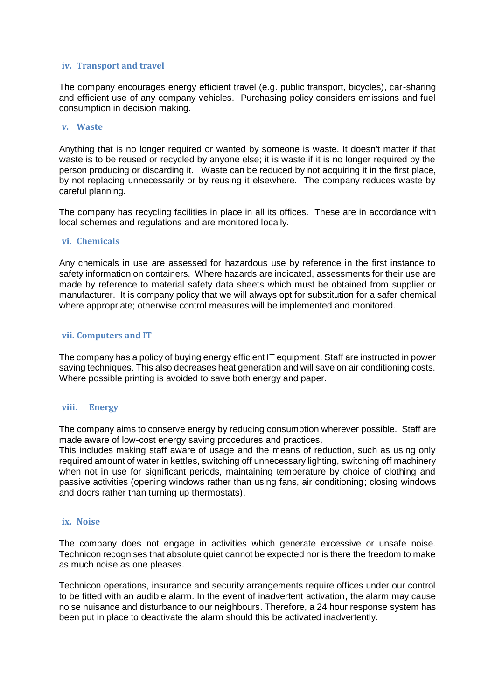# **iv. Transport and travel**

The company encourages energy efficient travel (e.g. public transport, bicycles), car-sharing and efficient use of any company vehicles. Purchasing policy considers emissions and fuel consumption in decision making.

# **v. Waste**

Anything that is no longer required or wanted by someone is waste. It doesn't matter if that waste is to be reused or recycled by anyone else; it is waste if it is no longer required by the person producing or discarding it. Waste can be reduced by not acquiring it in the first place, by not replacing unnecessarily or by reusing it elsewhere. The company reduces waste by careful planning.

The company has recycling facilities in place in all its offices. These are in accordance with local schemes and regulations and are monitored locally.

# **vi. Chemicals**

Any chemicals in use are assessed for hazardous use by reference in the first instance to safety information on containers. Where hazards are indicated, assessments for their use are made by reference to material safety data sheets which must be obtained from supplier or manufacturer. It is company policy that we will always opt for substitution for a safer chemical where appropriate; otherwise control measures will be implemented and monitored.

#### **vii. Computers and IT**

The company has a policy of buying energy efficient IT equipment. Staff are instructed in power saving techniques. This also decreases heat generation and will save on air conditioning costs. Where possible printing is avoided to save both energy and paper.

# **viii. Energy**

The company aims to conserve energy by reducing consumption wherever possible. Staff are made aware of low-cost energy saving procedures and practices.

This includes making staff aware of usage and the means of reduction, such as using only required amount of water in kettles, switching off unnecessary lighting, switching off machinery when not in use for significant periods, maintaining temperature by choice of clothing and passive activities (opening windows rather than using fans, air conditioning; closing windows and doors rather than turning up thermostats).

#### **ix. Noise**

The company does not engage in activities which generate excessive or unsafe noise. Technicon recognises that absolute quiet cannot be expected nor is there the freedom to make as much noise as one pleases.

Technicon operations, insurance and security arrangements require offices under our control to be fitted with an audible alarm. In the event of inadvertent activation, the alarm may cause noise nuisance and disturbance to our neighbours. Therefore, a 24 hour response system has been put in place to deactivate the alarm should this be activated inadvertently.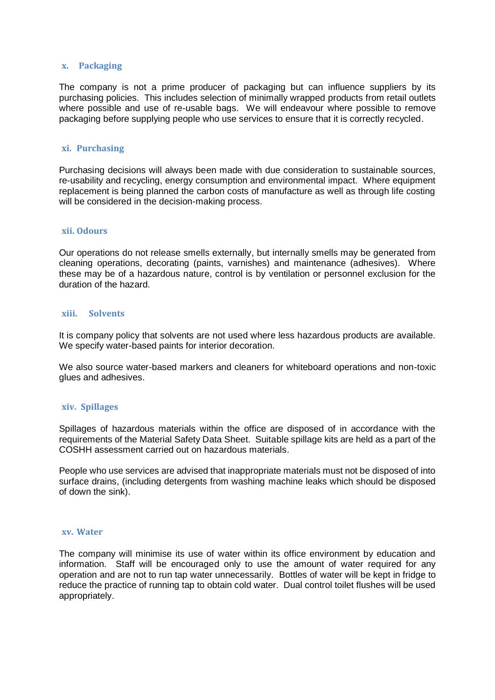#### **x. Packaging**

The company is not a prime producer of packaging but can influence suppliers by its purchasing policies. This includes selection of minimally wrapped products from retail outlets where possible and use of re-usable bags. We will endeavour where possible to remove packaging before supplying people who use services to ensure that it is correctly recycled.

#### **xi. Purchasing**

Purchasing decisions will always been made with due consideration to sustainable sources, re-usability and recycling, energy consumption and environmental impact. Where equipment replacement is being planned the carbon costs of manufacture as well as through life costing will be considered in the decision-making process.

#### **xii. Odours**

Our operations do not release smells externally, but internally smells may be generated from cleaning operations, decorating (paints, varnishes) and maintenance (adhesives). Where these may be of a hazardous nature, control is by ventilation or personnel exclusion for the duration of the hazard.

#### **xiii. Solvents**

It is company policy that solvents are not used where less hazardous products are available. We specify water-based paints for interior decoration.

We also source water-based markers and cleaners for whiteboard operations and non-toxic glues and adhesives.

# **xiv. Spillages**

Spillages of hazardous materials within the office are disposed of in accordance with the requirements of the Material Safety Data Sheet. Suitable spillage kits are held as a part of the COSHH assessment carried out on hazardous materials.

People who use services are advised that inappropriate materials must not be disposed of into surface drains, (including detergents from washing machine leaks which should be disposed of down the sink).

#### **xv. Water**

The company will minimise its use of water within its office environment by education and information. Staff will be encouraged only to use the amount of water required for any operation and are not to run tap water unnecessarily. Bottles of water will be kept in fridge to reduce the practice of running tap to obtain cold water. Dual control toilet flushes will be used appropriately.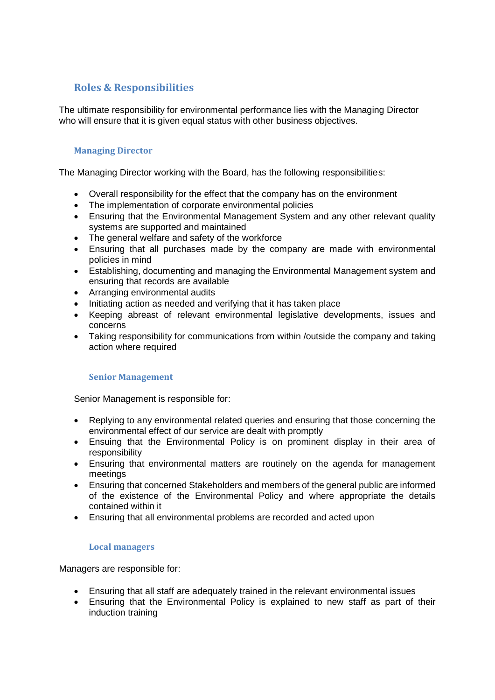# **Roles & Responsibilities**

The ultimate responsibility for environmental performance lies with the Managing Director who will ensure that it is given equal status with other business objectives.

# **Managing Director**

The Managing Director working with the Board, has the following responsibilities:

- Overall responsibility for the effect that the company has on the environment
- The implementation of corporate environmental policies
- Ensuring that the Environmental Management System and any other relevant quality systems are supported and maintained
- The general welfare and safety of the workforce
- Ensuring that all purchases made by the company are made with environmental policies in mind
- Establishing, documenting and managing the Environmental Management system and ensuring that records are available
- Arranging environmental audits
- Initiating action as needed and verifying that it has taken place
- Keeping abreast of relevant environmental legislative developments, issues and concerns
- Taking responsibility for communications from within /outside the company and taking action where required

# **Senior Management**

Senior Management is responsible for:

- Replying to any environmental related queries and ensuring that those concerning the environmental effect of our service are dealt with promptly
- Ensuing that the Environmental Policy is on prominent display in their area of responsibility
- Ensuring that environmental matters are routinely on the agenda for management meetings
- Ensuring that concerned Stakeholders and members of the general public are informed of the existence of the Environmental Policy and where appropriate the details contained within it
- Ensuring that all environmental problems are recorded and acted upon

# **Local managers**

Managers are responsible for:

- Ensuring that all staff are adequately trained in the relevant environmental issues
- Ensuring that the Environmental Policy is explained to new staff as part of their induction training